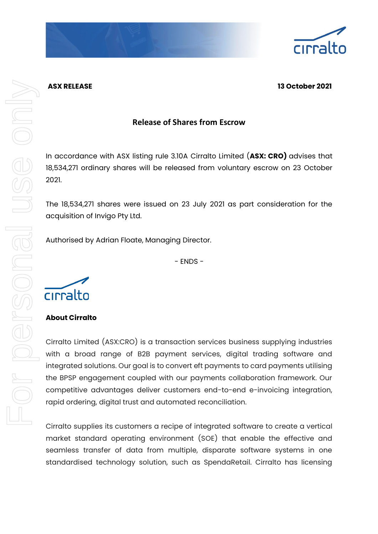

## **ASX RELEASE 13 October 2021**

# **Release of Shares from Escrow**

In accordance with ASX listing rule 3.10A Cirralto Limited (**ASX: CRO)** advises that 18,534,271 ordinary shares will be released from voluntary escrow on 23 October 2021.

The 18,534,271 shares were issued on 23 July 2021 as part consideration for the acquisition of Invigo Pty Ltd.

Authorised by Adrian Floate, Managing Director.

- ENDS -



## **About Cirralto**

Cirralto Limited (ASX:CRO) is a transaction services business supplying industries with a broad range of B2B payment services, digital trading software and integrated solutions. Our goal is to convert eft payments to card payments utilising the BPSP engagement coupled with our payments collaboration framework. Our competitive advantages deliver customers end-to-end e-invoicing integration, rapid ordering, digital trust and automated reconciliation.

Cirralto supplies its customers a recipe of integrated software to create a vertical market standard operating environment (SOE) that enable the effective and seamless transfer of data from multiple, disparate software systems in one standardised technology solution, such as SpendaRetail. Cirralto has licensing